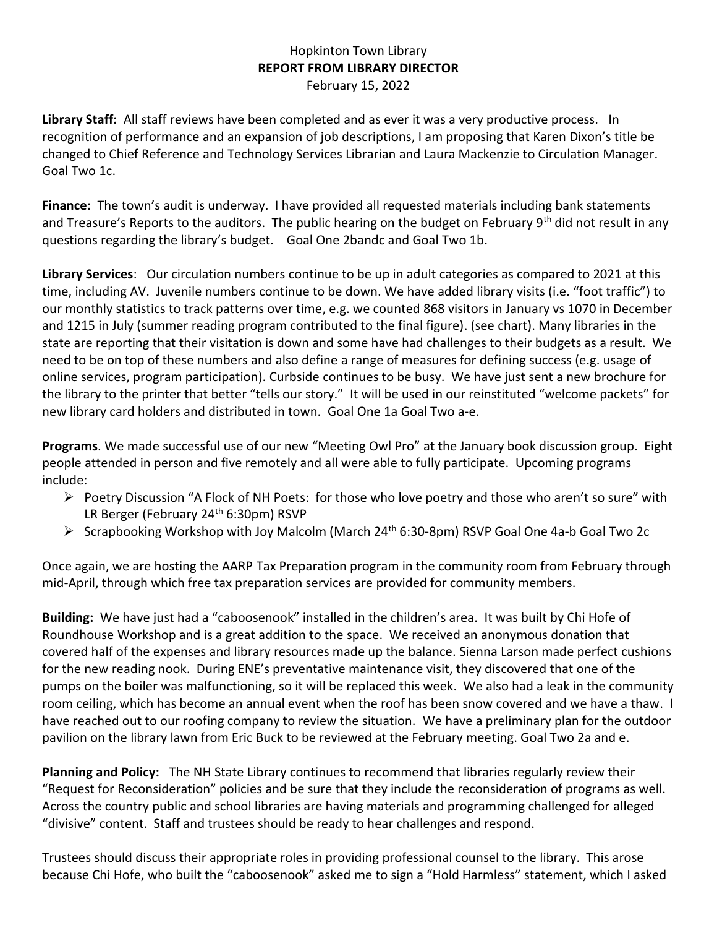## Hopkinton Town Library **REPORT FROM LIBRARY DIRECTOR** February 15, 2022

**Library Staff:** All staff reviews have been completed and as ever it was a very productive process. In recognition of performance and an expansion of job descriptions, I am proposing that Karen Dixon's title be changed to Chief Reference and Technology Services Librarian and Laura Mackenzie to Circulation Manager. Goal Two 1c.

**Finance:** The town's audit is underway. I have provided all requested materials including bank statements and Treasure's Reports to the auditors. The public hearing on the budget on February 9<sup>th</sup> did not result in any questions regarding the library's budget. Goal One 2bandc and Goal Two 1b.

**Library Services**: Our circulation numbers continue to be up in adult categories as compared to 2021 at this time, including AV. Juvenile numbers continue to be down. We have added library visits (i.e. "foot traffic") to our monthly statistics to track patterns over time, e.g. we counted 868 visitors in January vs 1070 in December and 1215 in July (summer reading program contributed to the final figure). (see chart). Many libraries in the state are reporting that their visitation is down and some have had challenges to their budgets as a result. We need to be on top of these numbers and also define a range of measures for defining success (e.g. usage of online services, program participation). Curbside continues to be busy. We have just sent a new brochure for the library to the printer that better "tells our story." It will be used in our reinstituted "welcome packets" for new library card holders and distributed in town. Goal One 1a Goal Two a-e.

**Programs**. We made successful use of our new "Meeting Owl Pro" at the January book discussion group. Eight people attended in person and five remotely and all were able to fully participate. Upcoming programs include:

- ➢ Poetry Discussion "A Flock of NH Poets: for those who love poetry and those who aren't so sure" with LR Berger (February 24<sup>th</sup> 6:30pm) RSVP
- ➢ Scrapbooking Workshop with Joy Malcolm (March 24th 6:30-8pm) RSVP Goal One 4a-b Goal Two 2c

Once again, we are hosting the AARP Tax Preparation program in the community room from February through mid-April, through which free tax preparation services are provided for community members.

**Building:** We have just had a "caboosenook" installed in the children's area. It was built by Chi Hofe of Roundhouse Workshop and is a great addition to the space. We received an anonymous donation that covered half of the expenses and library resources made up the balance. Sienna Larson made perfect cushions for the new reading nook. During ENE's preventative maintenance visit, they discovered that one of the pumps on the boiler was malfunctioning, so it will be replaced this week. We also had a leak in the community room ceiling, which has become an annual event when the roof has been snow covered and we have a thaw. I have reached out to our roofing company to review the situation. We have a preliminary plan for the outdoor pavilion on the library lawn from Eric Buck to be reviewed at the February meeting. Goal Two 2a and e.

**Planning and Policy:** The NH State Library continues to recommend that libraries regularly review their "Request for Reconsideration" policies and be sure that they include the reconsideration of programs as well. Across the country public and school libraries are having materials and programming challenged for alleged "divisive" content. Staff and trustees should be ready to hear challenges and respond.

Trustees should discuss their appropriate roles in providing professional counsel to the library. This arose because Chi Hofe, who built the "caboosenook" asked me to sign a "Hold Harmless" statement, which I asked